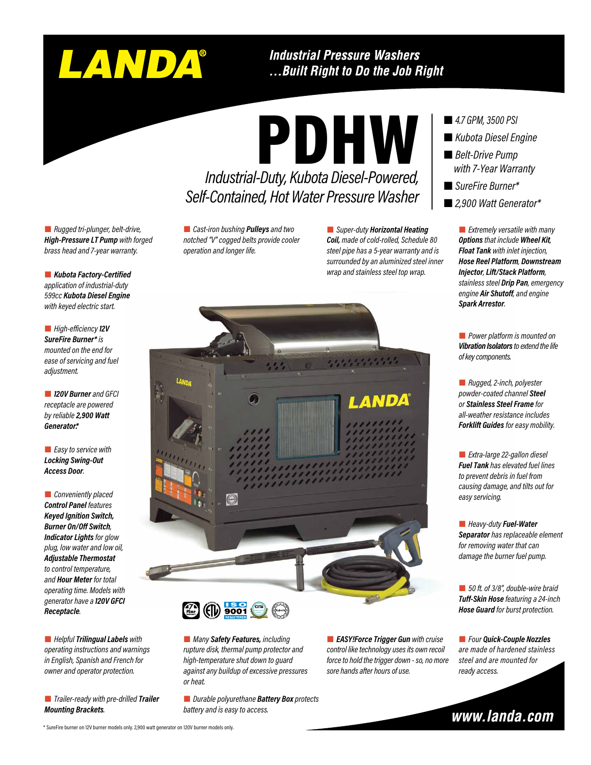# LANDA®

#### **Industrial Pressure Washers** ... Built Right to Do the Job Right

PDHW

*Industrial-Duty, Kubota Diesel-Powered,* 

*Self-Contained, Hot Water Pressure Washer* 

 *Rugged tri-plunger, belt-drive, High-Pressure LT Pump with forged brass head and 7-year warranty.*

 *Kubota Factory-Certified application of industrial-duty 599cc Kubota Diesel Engine with keyed electric start.*

 *High-efficiency 12V SureFire Burner\* is mounted on the end for ease of servicing and fuel adjustment.*

 *120V Burner and GFCI receptacle are powered by reliable 2,900 Watt Generator\*.*

 *Easy to service with Locking Swing-Out Access Door.*

 *Conveniently placed Control Panel features Keyed Ignition Switch, Burner On/Off Switch, Indicator Lights for glow plug, low water and low oil, Adjustable Thermostat to control temperature, and Hour Meter for total operating time. Models with generator have a 120V GFCI Receptacle.*

 *Helpful Trilingual Labels with operating instructions and warnings in English, Spanish and French for owner and operator protection.*

 *Trailer-ready with pre-drilled Trailer Mounting Brackets.*

 *Cast-iron bushing Pulleys and two notched "V" cogged belts provide cooler operation and longer life.*

 *Super-duty Horizontal Heating Coil, made of cold-rolled, Schedule 80 steel pipe has a 5-year warranty and is surrounded by an aluminized steel inner wrap and stainless steel top wrap.* 



 *Many Safety Features, including rupture disk, thermal pump protector and high-temperature shut down to guard against any buildup of excessive pressures or heat.*

 *Durable polyurethane Battery Box protects battery and is easy to access.*

 *EASY!Force Trigger Gun with cruise control like technology uses its own recoil force to hold the trigger down - so, no more sore hands after hours of use.*

- *4.7 GPM, 3500 PSI*
- *Kubota Diesel Engine*
- *Belt-Drive Pump with 7-Year Warranty*
- *SureFire Burner\**
- *2,900 Watt Generator\**

 *Extremely versatile with many Options that include Wheel Kit, Float Tank with inlet injection, Hose Reel Platform, Downstream Injector, Lift/Stack Platform, stainless steel Drip Pan, emergency engine Air Shutoff, and engine Spark Arrestor.*

 *Power platform is mounted on Vibration Isolators to extend the life of key components.*

 *Rugged, 2-inch, polyester powder-coated channel Steel or Stainless Steel Frame for all-weather resistance includes Forklift Guides for easy mobility.*

 *Extra-large 22-gallon diesel Fuel Tank has elevated fuel lines to prevent debris in fuel from causing damage, and tilts out for easy servicing.*

 *Heavy-duty Fuel-Water Separator has replaceable element for removing water that can damage the burner fuel pump.*

 *50 ft. of 3/8", double-wire braid Tuff-Skin Hose featuring a 24-inch Hose Guard for burst protection.*

 *Four Quick-Couple Nozzles are made of hardened stainless steel and are mounted for ready access.*

www.landa.com

#### \* SureFire burner on 12V burner models only. 2,900 watt generator on 120V burner models only.